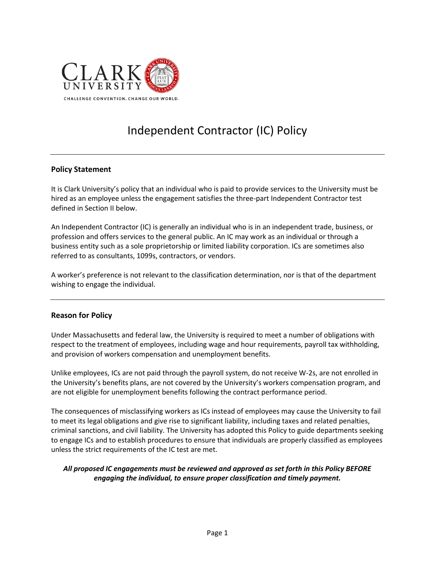

# Independent Contractor (IC) Policy

#### **Policy Statement**

It is Clark University's policy that an individual who is paid to provide services to the University must be hired as an employee unless the engagement satisfies the three-part Independent Contractor test defined in Section II below.

An Independent Contractor (IC) is generally an individual who is in an independent trade, business, or profession and offers services to the general public. An IC may work as an individual or through a business entity such as a sole proprietorship or limited liability corporation. ICs are sometimes also referred to as consultants, 1099s, contractors, or vendors.

A worker's preference is not relevant to the classification determination, nor is that of the department wishing to engage the individual.

#### **Reason for Policy**

Under Massachusetts and federal law, the University is required to meet a number of obligations with respect to the treatment of employees, including wage and hour requirements, payroll tax withholding, and provision of workers compensation and unemployment benefits.

Unlike employees, ICs are not paid through the payroll system, do not receive W-2s, are not enrolled in the University's benefits plans, are not covered by the University's workers compensation program, and are not eligible for unemployment benefits following the contract performance period.

The consequences of misclassifying workers as ICs instead of employees may cause the University to fail to meet its legal obligations and give rise to significant liability, including taxes and related penalties, criminal sanctions, and civil liability. The University has adopted this Policy to guide departments seeking to engage ICs and to establish procedures to ensure that individuals are properly classified as employees unless the strict requirements of the IC test are met.

#### *All proposed IC engagements must be reviewed and approved as set forth in this Policy BEFORE engaging the individual, to ensure proper classification and timely payment.*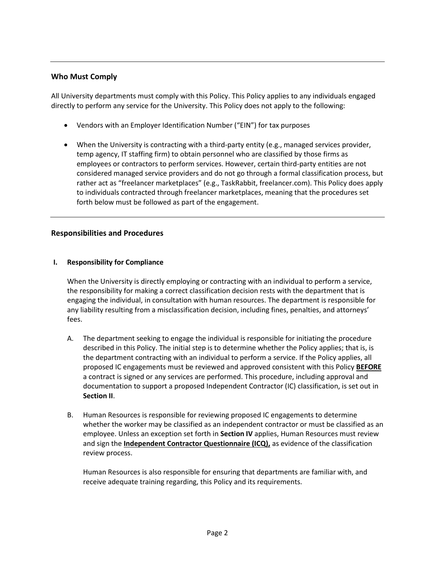## **Who Must Comply**

All University departments must comply with this Policy. This Policy applies to any individuals engaged directly to perform any service for the University. This Policy does not apply to the following:

- Vendors with an Employer Identification Number ("EIN") for tax purposes
- When the University is contracting with a third-party entity (e.g., managed services provider, temp agency, IT staffing firm) to obtain personnel who are classified by those firms as employees or contractors to perform services. However, certain third-party entities are not considered managed service providers and do not go through a formal classification process, but rather act as "freelancer marketplaces" (e.g., TaskRabbit, freelancer.com). This Policy does apply to individuals contracted through freelancer marketplaces, meaning that the procedures set forth below must be followed as part of the engagement.

#### **Responsibilities and Procedures**

#### **I. Responsibility for Compliance**

When the University is directly employing or contracting with an individual to perform a service, the responsibility for making a correct classification decision rests with the department that is engaging the individual, in consultation with human resources. The department is responsible for any liability resulting from a misclassification decision, including fines, penalties, and attorneys' fees.

- A. The department seeking to engage the individual is responsible for initiating the procedure described in this Policy. The initial step is to determine whether the Policy applies; that is, is the department contracting with an individual to perform a service. If the Policy applies, all proposed IC engagements must be reviewed and approved consistent with this Policy **BEFORE** a contract is signed or any services are performed. This procedure, including approval and documentation to support a proposed Independent Contractor (IC) classification, is set out in **Section II**.
- B. Human Resources is responsible for reviewing proposed IC engagements to determine whether the worker may be classified as an independent contractor or must be classified as an employee. Unless an exception set forth in **Section IV** applies, Human Resources must review and sign the **Independent Contractor Questionnaire (ICQ),** as evidence of the classification review process.

Human Resources is also responsible for ensuring that departments are familiar with, and receive adequate training regarding, this Policy and its requirements.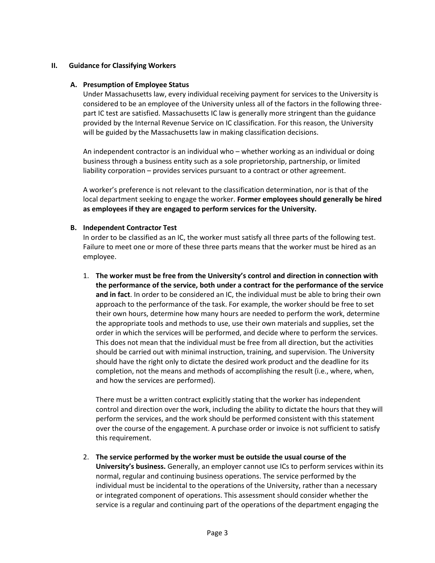#### **II. Guidance for Classifying Workers**

#### **A. Presumption of Employee Status**

Under Massachusetts law, every individual receiving payment for services to the University is considered to be an employee of the University unless all of the factors in the following threepart IC test are satisfied. Massachusetts IC law is generally more stringent than the guidance provided by the Internal Revenue Service on IC classification. For this reason, the University will be guided by the Massachusetts law in making classification decisions.

An independent contractor is an individual who – whether working as an individual or doing business through a business entity such as a sole proprietorship, partnership, or limited liability corporation – provides services pursuant to a contract or other agreement.

A worker's preference is not relevant to the classification determination, nor is that of the local department seeking to engage the worker. **Former employees should generally be hired as employees if they are engaged to perform services for the University.**

#### **B. Independent Contractor Test**

In order to be classified as an IC, the worker must satisfy all three parts of the following test. Failure to meet one or more of these three parts means that the worker must be hired as an employee.

1. **The worker must be free from the University's control and direction in connection with the performance of the service, both under a contract for the performance of the service and in fact**. In order to be considered an IC, the individual must be able to bring their own approach to the performance of the task. For example, the worker should be free to set their own hours, determine how many hours are needed to perform the work, determine the appropriate tools and methods to use, use their own materials and supplies, set the order in which the services will be performed, and decide where to perform the services. This does not mean that the individual must be free from all direction, but the activities should be carried out with minimal instruction, training, and supervision. The University should have the right only to dictate the desired work product and the deadline for its completion, not the means and methods of accomplishing the result (i.e., where, when, and how the services are performed).

There must be a written contract explicitly stating that the worker has independent control and direction over the work, including the ability to dictate the hours that they will perform the services, and the work should be performed consistent with this statement over the course of the engagement. A purchase order or invoice is not sufficient to satisfy this requirement.

2. **The service performed by the worker must be outside the usual course of the University's business.** Generally, an employer cannot use ICs to perform services within its normal, regular and continuing business operations. The service performed by the individual must be incidental to the operations of the University, rather than a necessary or integrated component of operations. This assessment should consider whether the service is a regular and continuing part of the operations of the department engaging the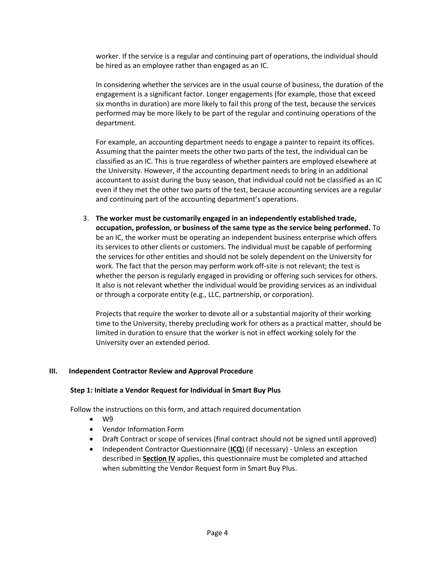worker. If the service is a regular and continuing part of operations, the individual should be hired as an employee rather than engaged as an IC.

In considering whether the services are in the usual course of business, the duration of the engagement is a significant factor. Longer engagements (for example, those that exceed six months in duration) are more likely to fail this prong of the test, because the services performed may be more likely to be part of the regular and continuing operations of the department.

For example, an accounting department needs to engage a painter to repaint its offices. Assuming that the painter meets the other two parts of the test, the individual can be classified as an IC. This is true regardless of whether painters are employed elsewhere at the University. However, if the accounting department needs to bring in an additional accountant to assist during the busy season, that individual could not be classified as an IC even if they met the other two parts of the test, because accounting services are a regular and continuing part of the accounting department's operations.

3. **The worker must be customarily engaged in an independently established trade, occupation, profession, or business of the same type as the service being performed.** To be an IC, the worker must be operating an independent business enterprise which offers its services to other clients or customers. The individual must be capable of performing the services for other entities and should not be solely dependent on the University for work. The fact that the person may perform work off-site is not relevant; the test is whether the person is regularly engaged in providing or offering such services for others. It also is not relevant whether the individual would be providing services as an individual or through a corporate entity (e.g., LLC, partnership, or corporation).

Projects that require the worker to devote all or a substantial majority of their working time to the University, thereby precluding work for others as a practical matter, should be limited in duration to ensure that the worker is not in effect working solely for the University over an extended period.

#### **III. Independent Contractor Review and Approval Procedure**

#### **Step 1: Initiate a Vendor Request for Individual in Smart Buy Plus**

Follow the instructions on this form, and attach required documentation

- W9
- Vendor Information Form
- Draft Contract or scope of services (final contract should not be signed until approved)
- Independent Contractor Questionnaire (**ICQ**) (if necessary) Unless an exception described in **Section IV** applies, this questionnaire must be completed and attached when submitting the Vendor Request form in Smart Buy Plus.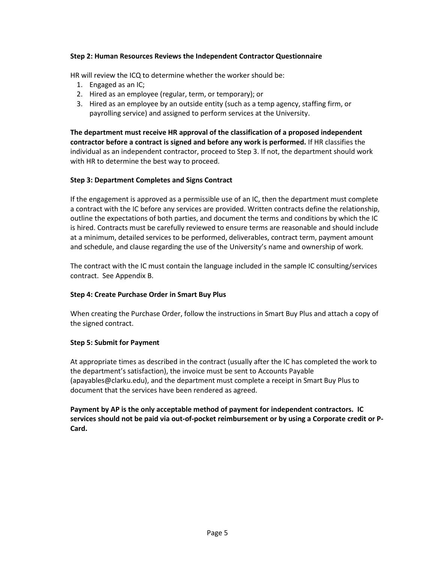#### **Step 2: Human Resources Reviews the Independent Contractor Questionnaire**

HR will review the ICQ to determine whether the worker should be:

- 1. Engaged as an IC;
- 2. Hired as an employee (regular, term, or temporary); or
- 3. Hired as an employee by an outside entity (such as a temp agency, staffing firm, or payrolling service) and assigned to perform services at the University.

**The department must receive HR approval of the classification of a proposed independent contractor before a contract is signed and before any work is performed.** If HR classifies the individual as an independent contractor, proceed to Step 3. If not, the department should work with HR to determine the best way to proceed.

## **Step 3: Department Completes and Signs Contract**

If the engagement is approved as a permissible use of an IC, then the department must complete a contract with the IC before any services are provided. Written contracts define the relationship, outline the expectations of both parties, and document the terms and conditions by which the IC is hired. Contracts must be carefully reviewed to ensure terms are reasonable and should include at a minimum, detailed services to be performed, deliverables, contract term, payment amount and schedule, and clause regarding the use of the University's name and ownership of work.

The contract with the IC must contain the language included in the sample IC consulting/services contract. See Appendix B.

## **Step 4: Create Purchase Order in Smart Buy Plus**

When creating the Purchase Order, follow the instructions in Smart Buy Plus and attach a copy of the signed contract.

## **Step 5: Submit for Payment**

At appropriate times as described in the contract (usually after the IC has completed the work to the department's satisfaction), the invoice must be sent to Accounts Payable (apayables@clarku.edu), and the department must complete a receipt in Smart Buy Plus to document that the services have been rendered as agreed.

**Payment by AP is the only acceptable method of payment for independent contractors. IC services should not be paid via out-of-pocket reimbursement or by using a Corporate credit or P-Card.**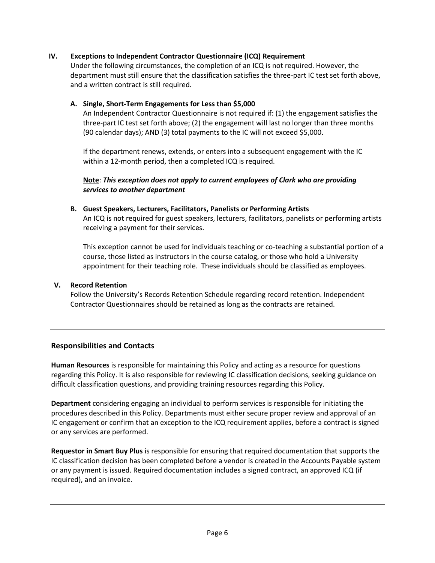## **IV. Exceptions to Independent Contractor Questionnaire (ICQ) Requirement**

Under the following circumstances, the completion of an ICQ is not required. However, the department must still ensure that the classification satisfies the three-part IC test set forth above, and a written contract is still required.

#### **A. Single, Short-Term Engagements for Less than \$5,000**

An Independent Contractor Questionnaire is not required if: (1) the engagement satisfies the three-part IC test set forth above; (2) the engagement will last no longer than three months (90 calendar days); AND (3) total payments to the IC will not exceed \$5,000.

If the department renews, extends, or enters into a subsequent engagement with the IC within a 12-month period, then a completed ICQ is required.

#### **Note**: *This exception does not apply to current employees of Clark who are providing services to another department*

**B. Guest Speakers, Lecturers, Facilitators, Panelists or Performing Artists**

An ICQ is not required for guest speakers, lecturers, facilitators, panelists or performing artists receiving a payment for their services.

This exception cannot be used for individuals teaching or co-teaching a substantial portion of a course, those listed as instructors in the course catalog, or those who hold a University appointment for their teaching role. These individuals should be classified as employees.

#### **V. Record Retention**

Follow the University's Records Retention Schedule regarding record retention. Independent Contractor Questionnaires should be retained as long as the contracts are retained.

## **Responsibilities and Contacts**

**Human Resources** is responsible for maintaining this Policy and acting as a resource for questions regarding this Policy. It is also responsible for reviewing IC classification decisions, seeking guidance on difficult classification questions, and providing training resources regarding this Policy.

**Department** considering engaging an individual to perform services is responsible for initiating the procedures described in this Policy. Departments must either secure proper review and approval of an IC engagement or confirm that an exception to the ICQ requirement applies, before a contract is signed or any services are performed.

**Requestor in Smart Buy Plus** is responsible for ensuring that required documentation that supports the IC classification decision has been completed before a vendor is created in the Accounts Payable system or any payment is issued. Required documentation includes a signed contract, an approved ICQ (if required), and an invoice.